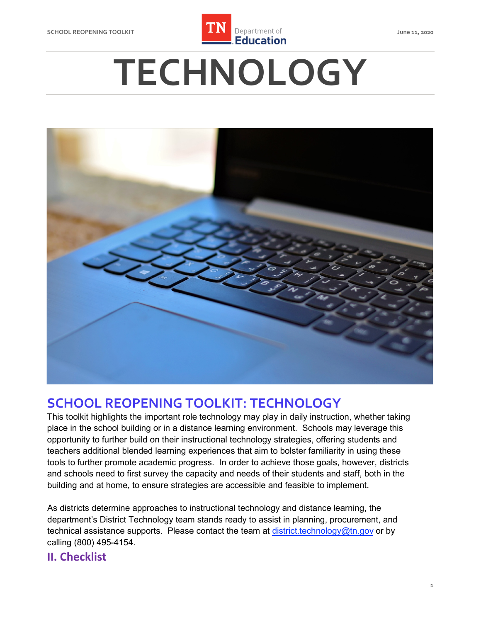

# **TECHNOLOGY**



## **SCHOOL REOPENING TOOLKIT: TECHNOLOGY**

 place in the school building or in a distance learning environment. Schools may leverage this opportunity to further build on their instructional technology strategies, offering students and teachers additional blended learning experiences that aim to bolster familiarity in using these tools to further promote academic progress. In order to achieve those goals, however, districts and schools need to first survey the capacity and needs of their students and staff, both in the building and at home, to ensure strategies are accessible and feasible to implement. This toolkit highlights the important role technology may play in daily instruction, whether taking

 As districts determine approaches to instructional technology and distance learning, the department's District Technology team stands ready to assist in planning, procurement, and technical assistance supports. Please contact the team at <u>district.technology@tn.gov</u> or by calling (800) 495-4154.

### **II. Checklist**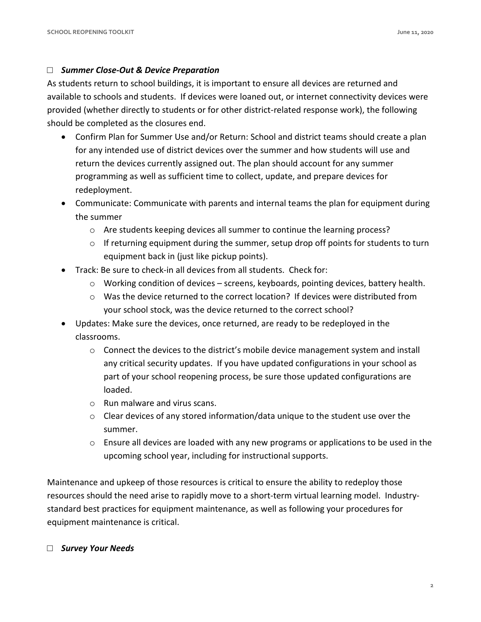#### □ *Summer Close-Out & Device Preparation*

 As students return to school buildings, it is important to ensure all devices are returned and available to schools and students. If devices were loaned out, or internet connectivity devices were provided (whether directly to students or for other district-related response work), the following should be completed as the closures end.

- • Confirm Plan for Summer Use and/or Return: School and district teams should create a plan programming as well as sufficient time to collect, update, and prepare devices for for any intended use of district devices over the summer and how students will use and return the devices currently assigned out. The plan should account for any summer redeployment.
- • Communicate: Communicate with parents and internal teams the plan for equipment during the summer
	- o Are students keeping devices all summer to continue the learning process?
	- $\circ$  If returning equipment during the summer, setup drop off points for students to turn equipment back in (just like pickup points).
- Track: Be sure to check-in all devices from all students. Check for:
	- o Working condition of devices screens, keyboards, pointing devices, battery health.
	- $\circ$  Was the device returned to the correct location? If devices were distributed from your school stock, was the device returned to the correct school?
- • Updates: Make sure the devices, once returned, are ready to be redeployed in the classrooms.
	- $\circ$  Connect the devices to the district's mobile device management system and install any critical security updates. If you have updated configurations in your school as part of your school reopening process, be sure those updated configurations are loaded.
	- o Run malware and virus scans.
	- $\circ$  Clear devices of any stored information/data unique to the student use over the summer.
	- $\circ$  Ensure all devices are loaded with any new programs or applications to be used in the upcoming school year, including for instructional supports.

 Maintenance and upkeep of those resources is critical to ensure the ability to redeploy those resources should the need arise to rapidly move to a short-term virtual learning model. Industry- standard best practices for equipment maintenance, as well as following your procedures for equipment maintenance is critical.

#### □ *Survey Your Needs*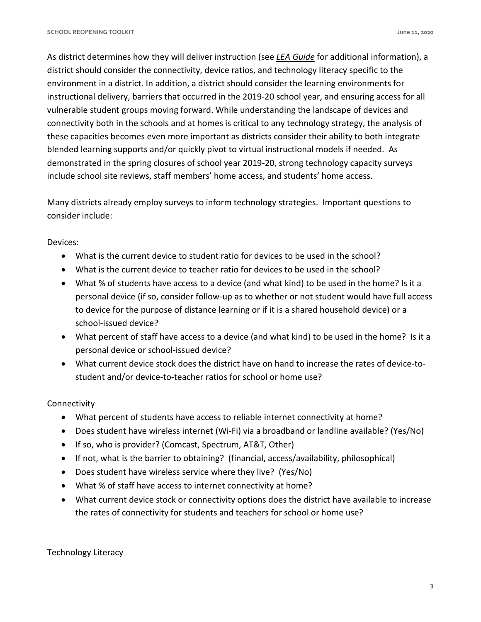As district determines how they will deliver instruction (see *[LEA Guide](https://www.tn.gov/education/health-and-safety/update-on-coronavirus/reopening-guidance.html)* for additional information), a district should consider the connectivity, device ratios, and technology literacy specific to the environment in a district. In addition, a district should consider the learning environments for instructional delivery, barriers that occurred in the 2019-20 school year, and ensuring access for all vulnerable student groups moving forward. While understanding the landscape of devices and connectivity both in the schools and at homes is critical to any technology strategy, the analysis of these capacities becomes even more important as districts consider their ability to both integrate blended learning supports and/or quickly pivot to virtual instructional models if needed. As demonstrated in the spring closures of school year 2019-20, strong technology capacity surveys include school site reviews, staff members' home access, and students' home access.

 Many districts already employ surveys to inform technology strategies. Important questions to consider include:

Devices:

- What is the current device to student ratio for devices to be used in the school?
- What is the current device to teacher ratio for devices to be used in the school?
- • What % of students have access to a device (and what kind) to be used in the home? Is it a personal device (if so, consider follow-up as to whether or not student would have full access to device for the purpose of distance learning or if it is a shared household device) or a school-issued device?
- What percent of staff have access to a device (and what kind) to be used in the home? Is it a personal device or school-issued device?
- What current device stock does the district have on hand to increase the rates of device-tostudent and/or device-to-teacher ratios for school or home use?

#### Connectivity

- What percent of students have access to reliable internet connectivity at home?
- Does student have wireless internet (Wi-Fi) via a broadband or landline available? (Yes/No)
- If so, who is provider? (Comcast, Spectrum, AT&T, Other)
- If not, what is the barrier to obtaining? (financial, access/availability, philosophical)
- Does student have wireless service where they live? (Yes/No)
- What % of staff have access to internet connectivity at home?
- • What current device stock or connectivity options does the district have available to increase the rates of connectivity for students and teachers for school or home use?

Technology Literacy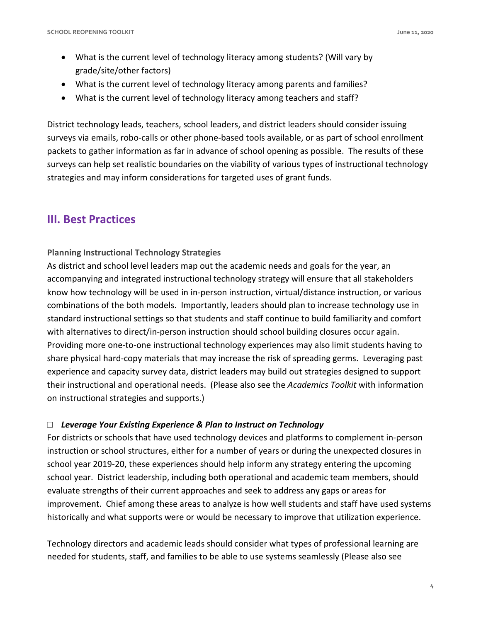- What is the current level of technology literacy among students? (Will vary by grade/site/other factors)
- What is the current level of technology literacy among parents and families?
- What is the current level of technology literacy among teachers and staff?

 District technology leads, teachers, school leaders, and district leaders should consider issuing surveys via emails, robo-calls or other phone-based tools available, or as part of school enrollment packets to gather information as far in advance of school opening as possible. The results of these surveys can help set realistic boundaries on the viability of various types of instructional technology strategies and may inform considerations for targeted uses of grant funds.

## **III. Best Practices**

#### **Planning Instructional Technology Strategies**

 As district and school level leaders map out the academic needs and goals for the year, an accompanying and integrated instructional technology strategy will ensure that all stakeholders know how technology will be used in in-person instruction, virtual/distance instruction, or various combinations of the both models. Importantly, leaders should plan to increase technology use in standard instructional settings so that students and staff continue to build familiarity and comfort with alternatives to direct/in-person instruction should school building closures occur again. Providing more one-to-one instructional technology experiences may also limit students having to share physical hard-copy materials that may increase the risk of spreading germs. Leveraging past experience and capacity survey data, district leaders may build out strategies designed to support their instructional and operational needs. (Please also see the *Academics Toolkit* with information on instructional strategies and supports.)

#### □ *Leverage Your Existing Experience & Plan to Instruct on Technology*

 For districts or schools that have used technology devices and platforms to complement in-person instruction or school structures, either for a number of years or during the unexpected closures in school year 2019-20, these experiences should help inform any strategy entering the upcoming school year. District leadership, including both operational and academic team members, should evaluate strengths of their current approaches and seek to address any gaps or areas for improvement. Chief among these areas to analyze is how well students and staff have used systems historically and what supports were or would be necessary to improve that utilization experience.

 Technology directors and academic leads should consider what types of professional learning are needed for students, staff, and families to be able to use systems seamlessly (Please also see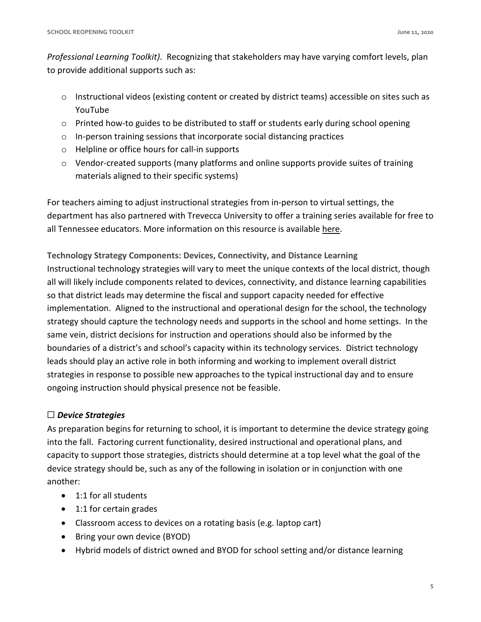*Professional Learning Toolkit)*. Recognizing that stakeholders may have varying comfort levels, plan to provide additional supports such as:

- $\circ$  Instructional videos (existing content or created by district teams) accessible on sites such as YouTube
- o Printed how-to guides to be distributed to staff or students early during school opening
- $\circ$  In-person training sessions that incorporate social distancing practices
- o Helpline or office hours for call-in supports
- materials aligned to their specific systems) o Vendor-created supports (many platforms and online supports provide suites of training

 For teachers aiming to adjust instructional strategies from in-person to virtual settings, the department has also partnered with Trevecca University to offer a training series available for free to all Tennessee educators. More information on this resource is available here.

 **Technology Strategy Components: Devices, Connectivity, and Distance Learning**  Instructional technology strategies will vary to meet the unique contexts of the local district, though all will likely include components related to devices, connectivity, and distance learning capabilities so that district leads may determine the fiscal and support capacity needed for effective implementation. Aligned to the instructional and operational design for the school, the technology strategy should capture the technology needs and supports in the school and home settings. In the same vein, district decisions for instruction and operations should also be informed by the boundaries of a district's and school's capacity within its technology services. District technology leads should play an active role in both informing and working to implement overall district strategies in response to possible new approaches to the typical instructional day and to ensure ongoing instruction should physical presence not be feasible.

#### ☐ *Device Strategies*

 As preparation begins for returning to school, it is important to determine the device strategy going into the fall. Factoring current functionality, desired instructional and operational plans, and capacity to support those strategies, districts should determine at a top level what the goal of the device strategy should be, such as any of the following in isolation or in conjunction with one another:

- 1:1 for all students
- 1:1 for certain grades
- Classroom access to devices on a rotating basis (e.g. laptop cart)
- Bring your own device (BYOD)
- Hybrid models of district owned and BYOD for school setting and/or distance learning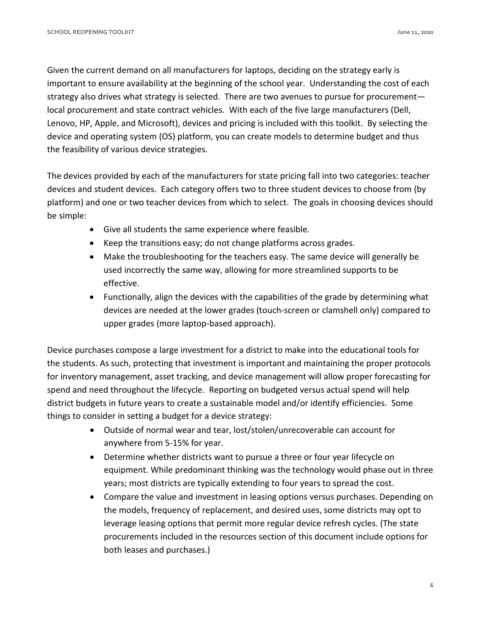Given the current demand on all manufacturers for laptops, deciding on the strategy early is important to ensure availability at the beginning of the school year. Understanding the cost of each strategy also drives what strategy is selected. There are two avenues to pursue for procurement— local procurement and state contract vehicles. With each of the five large manufacturers (Dell, Lenovo, HP, Apple, and Microsoft), devices and pricing is included with this toolkit. By selecting the device and operating system (OS) platform, you can create models to determine budget and thus the feasibility of various device strategies.

 The devices provided by each of the manufacturers for state pricing fall into two categories: teacher devices and student devices. Each category offers two to three student devices to choose from (by platform) and one or two teacher devices from which to select. The goals in choosing devices should be simple:

- Give all students the same experience where feasible.
- Keep the transitions easy; do not change platforms across grades.
- used incorrectly the same way, allowing for more streamlined supports to be • Make the troubleshooting for the teachers easy. The same device will generally be effective.
- Functionally, align the devices with the capabilities of the grade by determining what devices are needed at the lower grades (touch-screen or clamshell only) compared to upper grades (more laptop-based approach).

 Device purchases compose a large investment for a district to make into the educational tools for the students. As such, protecting that investment is important and maintaining the proper protocols for inventory management, asset tracking, and device management will allow proper forecasting for spend and need throughout the lifecycle. Reporting on budgeted versus actual spend will help district budgets in future years to create a sustainable model and/or identify efficiencies. Some things to consider in setting a budget for a device strategy:

- • Outside of normal wear and tear, lost/stolen/unrecoverable can account for anywhere from 5-15% for year.
- equipment. While predominant thinking was the technology would phase out in three years; most districts are typically extending to four years to spread the cost. • Determine whether districts want to pursue a three or four year lifecycle on
- • Compare the value and investment in leasing options versus purchases. Depending on the models, frequency of replacement, and desired uses, some districts may opt to leverage leasing options that permit more regular device refresh cycles. (The state procurements included in the resources section of this document include options for both leases and purchases.)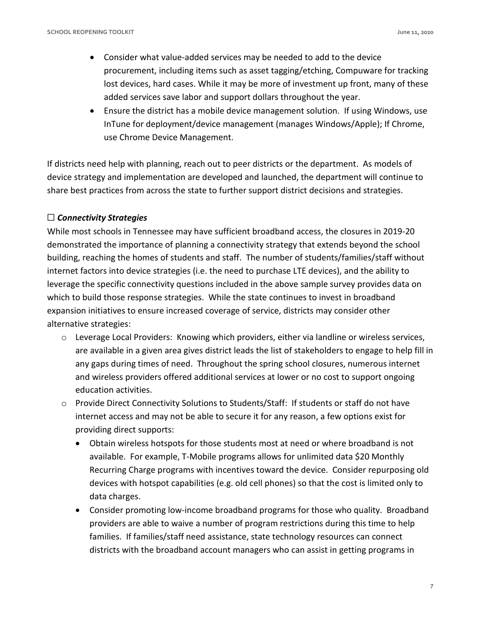- procurement, including items such as asset tagging/etching, Compuware for tracking lost devices, hard cases. While it may be more of investment up front, many of these added services save labor and support dollars throughout the year. • Consider what value-added services may be needed to add to the device
- InTune for deployment/device management (manages Windows/Apple); If Chrome, use Chrome Device Management. • Ensure the district has a mobile device management solution. If using Windows, use

use Chrome Device Management.<br>If districts need help with planning, reach out to peer districts or the department. As models of device strategy and implementation are developed and launched, the department will continue to share best practices from across the state to further support district decisions and strategies.

#### ☐ *Connectivity Strategies*

 While most schools in Tennessee may have sufficient broadband access, the closures in 2019-20 demonstrated the importance of planning a connectivity strategy that extends beyond the school building, reaching the homes of students and staff. The number of students/families/staff without internet factors into device strategies (i.e. the need to purchase LTE devices), and the ability to leverage the specific connectivity questions included in the above sample survey provides data on which to build those response strategies. While the state continues to invest in broadband expansion initiatives to ensure increased coverage of service, districts may consider other alternative strategies:

- are available in a given area gives district leads the list of stakeholders to engage to help fill in any gaps during times of need. Throughout the spring school closures, numerous internet o Leverage Local Providers: Knowing which providers, either via landline or wireless services, and wireless providers offered additional services at lower or no cost to support ongoing education activities.
- internet access and may not be able to secure it for any reason, a few options exist for o Provide Direct Connectivity Solutions to Students/Staff: If students or staff do not have providing direct supports:
	- available. For example, T-Mobile programs allows for unlimited data \$20 Monthly Recurring Charge programs with incentives toward the device. Consider repurposing old devices with hotspot capabilities (e.g. old cell phones) so that the cost is limited only to • Obtain wireless hotspots for those students most at need or where broadband is not data charges.
	- providers are able to waive a number of program restrictions during this time to help districts with the broadband account managers who can assist in getting programs in • Consider promoting low-income broadband programs for those who quality. Broadband families. If families/staff need assistance, state technology resources can connect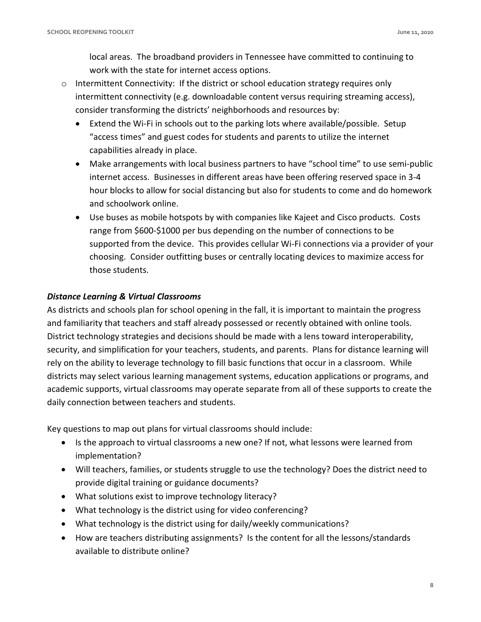local areas. The broadband providers in Tennessee have committed to continuing to work with the state for internet access options.

- $\circ$  Intermittent Connectivity: If the district or school education strategy requires only intermittent connectivity (e.g. downloadable content versus requiring streaming access), consider transforming the districts' neighborhoods and resources by:
	- • Extend the Wi-Fi in schools out to the parking lots where available/possible. Setup "access times" and guest codes for students and parents to utilize the internet capabilities already in place.
	- • Make arrangements with local business partners to have "school time" to use semi-public hour blocks to allow for social distancing but also for students to come and do homework internet access. Businesses in different areas have been offering reserved space in 3-4 and schoolwork online.
	- range from \$600-\$1000 per bus depending on the number of connections to be choosing. Consider outfitting buses or centrally locating devices to maximize access for those students. • Use buses as mobile hotspots by with companies like Kajeet and Cisco products. Costs supported from the device. This provides cellular Wi-Fi connections via a provider of your

#### *Distance Learning & Virtual Classrooms*

 As districts and schools plan for school opening in the fall, it is important to maintain the progress and familiarity that teachers and staff already possessed or recently obtained with online tools. District technology strategies and decisions should be made with a lens toward interoperability, security, and simplification for your teachers, students, and parents. Plans for distance learning will rely on the ability to leverage technology to fill basic functions that occur in a classroom. While districts may select various learning management systems, education applications or programs, and academic supports, virtual classrooms may operate separate from all of these supports to create the daily connection between teachers and students.

Key questions to map out plans for virtual classrooms should include:

- • Is the approach to virtual classrooms a new one? If not, what lessons were learned from implementation?
- • Will teachers, families, or students struggle to use the technology? Does the district need to provide digital training or guidance documents?
- What solutions exist to improve technology literacy?
- What technology is the district using for video conferencing?
- What technology is the district using for daily/weekly communications?
- • How are teachers distributing assignments? Is the content for all the lessons/standards available to distribute online?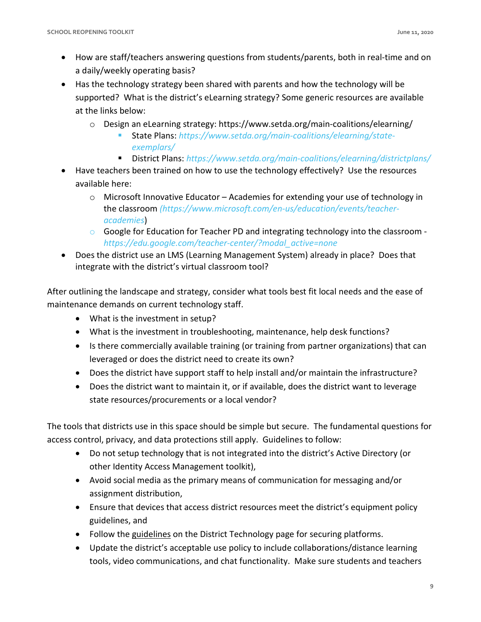- How are staff/teachers answering questions from students/parents, both in real-time and on a daily/weekly operating basis?
- supported? What is the district's eLearning strategy? Some generic resources are available • Has the technology strategy been shared with parents and how the technology will be at the links below:
	- $\circ$  Design an eLearning strategy: https://www.setda.org/main-coalitions/elearning/
		- State Plans: *[https://www.setda.org/main-coalitions/elearning/state](https://www.setda.org/main-coalitions/elearning/state-exemplars/)[exemplars/](https://www.setda.org/main-coalitions/elearning/state-exemplars/)*
		- District Plans: https://www.setda.org/main-coalitions/elearning/districtplans/
- Have teachers been trained on how to use the technology effectively? Use the resources available here:
	- o Microsoft Innovative Educator Academies for extending your use of technology in the classroom *[\(https://www.microsoft.com/en-us/education/events/teacher](https://www.microsoft.com/en-us/education/events/teacher-academies)[academies](https://www.microsoft.com/en-us/education/events/teacher-academies)*)
	- $\circ$  Google for Education for Teacher PD and integrating technology into the classroom *[https://edu.google.com/teacher-center/?modal\\_active=none](https://edu.google.com/teacher-center/?modal_active=none)*
- • Does the district use an LMS (Learning Management System) already in place? Does that integrate with the district's virtual classroom tool?

integrate with the district's virtual classroom tool?<br>After outlining the landscape and strategy, consider what tools best fit local needs and the ease of maintenance demands on current technology staff.

- What is the investment in setup?
- What is the investment in troubleshooting, maintenance, help desk functions?
- • Is there commercially available training (or training from partner organizations) that can leveraged or does the district need to create its own?
- Does the district have support staff to help install and/or maintain the infrastructure?
- • Does the district want to maintain it, or if available, does the district want to leverage state resources/procurements or a local vendor?

 The tools that districts use in this space should be simple but secure. The fundamental questions for access control, privacy, and data protections still apply. Guidelines to follow:

- • Do not setup technology that is not integrated into the district's Active Directory (or other Identity Access Management toolkit),
- Avoid social media as the primary means of communication for messaging and/or assignment distribution,
- • Ensure that devices that access district resources meet the district's equipment policy guidelines, and
- Follow the [guidelines](https://www.tn.gov/education/district-technology/best-practices-for-video-conferencing.html) on the District Technology page for securing platforms.
- • Update the district's acceptable use policy to include collaborations/distance learning tools, video communications, and chat functionality. Make sure students and teachers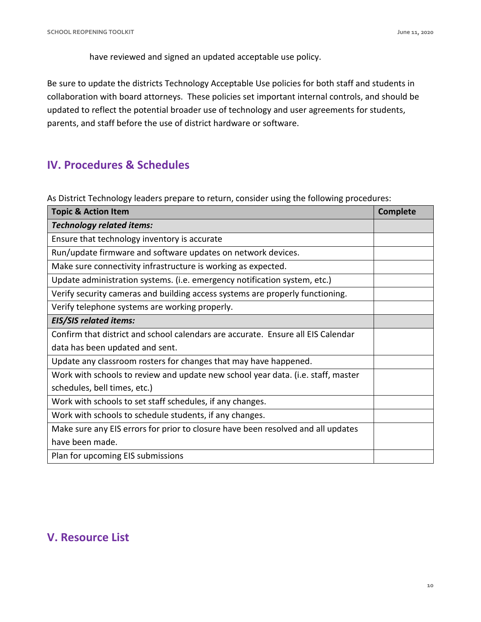have reviewed and signed an updated acceptable use policy.

 Be sure to update the districts Technology Acceptable Use policies for both staff and students in collaboration with board attorneys. These policies set important internal controls, and should be updated to reflect the potential broader use of technology and user agreements for students, parents, and staff before the use of district hardware or software.

## **IV. Procedures & Schedules**

As District Technology leaders prepare to return, consider using the following procedures:

| <b>Topic &amp; Action Item</b>                                                   | <b>Complete</b> |
|----------------------------------------------------------------------------------|-----------------|
| <b>Technology related items:</b>                                                 |                 |
| Ensure that technology inventory is accurate                                     |                 |
| Run/update firmware and software updates on network devices.                     |                 |
| Make sure connectivity infrastructure is working as expected.                    |                 |
| Update administration systems. (i.e. emergency notification system, etc.)        |                 |
| Verify security cameras and building access systems are properly functioning.    |                 |
| Verify telephone systems are working properly.                                   |                 |
| <b>EIS/SIS related items:</b>                                                    |                 |
| Confirm that district and school calendars are accurate. Ensure all EIS Calendar |                 |
| data has been updated and sent.                                                  |                 |
| Update any classroom rosters for changes that may have happened.                 |                 |
| Work with schools to review and update new school year data. (i.e. staff, master |                 |
| schedules, bell times, etc.)                                                     |                 |
| Work with schools to set staff schedules, if any changes.                        |                 |
| Work with schools to schedule students, if any changes.                          |                 |
| Make sure any EIS errors for prior to closure have been resolved and all updates |                 |
| have been made.                                                                  |                 |
| Plan for upcoming EIS submissions                                                |                 |

## **V. Resource List**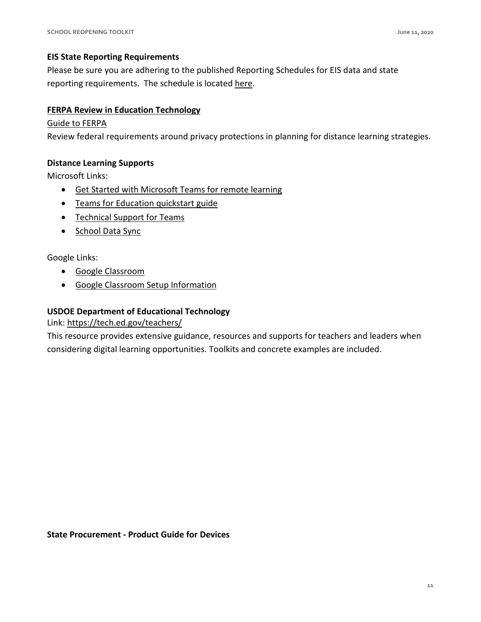#### **EIS State Reporting Requirements**

 Please be sure you are adhering to the published Reporting Schedules for EIS data and state reporting requirements. The schedule is located [here.](https://www.tn.gov/education/lea-operations/reporting-schedule.html)

#### **FERPA Review in Education Technology**

#### [Guide to FERPA](https://tech.ed.gov/wp-content/uploads/2014/09/Student-Privacy-and-Online-Educational-Services-February-2014.pdf)

Review federal requirements around privacy protections in planning for distance learning strategies.

#### **Distance Learning Supports**

Microsoft Links:

- [Get Started with Microsoft Teams for remote learning](https://docs.microsoft.com/en-us/MicrosoftTeams/remote-learning-edu)
- [Teams for Education quickstart guide](https://download.microsoft.com/download/a/5/8/a581b311-00fb-447e-b31a-4c9ddda9dcc5/TeamsforEducation_QuickGuide.pdf)
- [Technical Support for Teams](https://docs.microsoft.com/en-us/microsoft-365/education/deploy/deploy-office-365)
- School Data Sync<br>Google Links:

Google Links:

- [Google Classroom](https://edu.google.com/products/classroom/)
- [Google Classroom Setup Information](https://edu.google.com/training-support/setup-guides/)

#### **USDOE Department of Educational Technology**

Link:<https://tech.ed.gov/teachers/>

 This resource provides extensive guidance, resources and supports for teachers and leaders when considering digital learning opportunities. Toolkits and concrete examples are included.

 **State Procurement - Product Guide for Devices**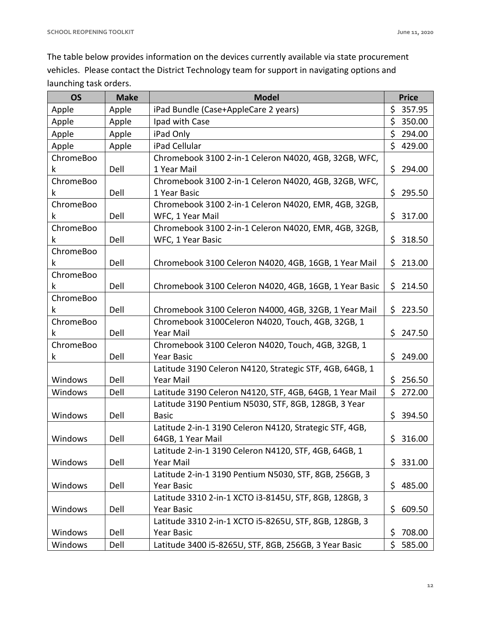The table below provides information on the devices currently available via state procurement vehicles. Please contact the District Technology team for support in navigating options and launching task orders.

| <b>OS</b> | <b>Make</b> | <b>Model</b>                                             | <b>Price</b>  |
|-----------|-------------|----------------------------------------------------------|---------------|
| Apple     | Apple       | iPad Bundle (Case+AppleCare 2 years)                     | \$357.95      |
| Apple     | Apple       | Ipad with Case                                           | \$<br>350.00  |
| Apple     | Apple       | iPad Only                                                | \$<br>294.00  |
| Apple     | Apple       | iPad Cellular                                            | \$<br>429.00  |
| ChromeBoo |             | Chromebook 3100 2-in-1 Celeron N4020, 4GB, 32GB, WFC,    |               |
| k         | Dell        | 1 Year Mail                                              | \$<br>294.00  |
| ChromeBoo |             | Chromebook 3100 2-in-1 Celeron N4020, 4GB, 32GB, WFC,    |               |
| k         | Dell        | 1 Year Basic                                             | \$295.50      |
| ChromeBoo |             | Chromebook 3100 2-in-1 Celeron N4020, EMR, 4GB, 32GB,    |               |
| k         | Dell        | WFC, 1 Year Mail                                         | \$.<br>317.00 |
| ChromeBoo |             | Chromebook 3100 2-in-1 Celeron N4020, EMR, 4GB, 32GB,    |               |
| k         | Dell        | WFC, 1 Year Basic                                        | \$318.50      |
| ChromeBoo |             |                                                          |               |
| k         | Dell        | Chromebook 3100 Celeron N4020, 4GB, 16GB, 1 Year Mail    | \$<br>213.00  |
| ChromeBoo |             |                                                          |               |
| k         | Dell        | Chromebook 3100 Celeron N4020, 4GB, 16GB, 1 Year Basic   | \$214.50      |
| ChromeBoo |             |                                                          |               |
| k         | Dell        | Chromebook 3100 Celeron N4000, 4GB, 32GB, 1 Year Mail    | \$.<br>223.50 |
| ChromeBoo |             | Chromebook 3100Celeron N4020, Touch, 4GB, 32GB, 1        |               |
| k         | Dell        | Year Mail                                                | \$.<br>247.50 |
| ChromeBoo |             | Chromebook 3100 Celeron N4020, Touch, 4GB, 32GB, 1       |               |
| k         | Dell        | <b>Year Basic</b>                                        | \$<br>249.00  |
|           |             | Latitude 3190 Celeron N4120, Strategic STF, 4GB, 64GB, 1 |               |
| Windows   | Dell        | Year Mail                                                | \$.<br>256.50 |
| Windows   | Dell        | Latitude 3190 Celeron N4120, STF, 4GB, 64GB, 1 Year Mail | \$<br>272.00  |
|           |             | Latitude 3190 Pentium N5030, STF, 8GB, 128GB, 3 Year     |               |
| Windows   | Dell        | <b>Basic</b>                                             | \$.<br>394.50 |
|           |             | Latitude 2-in-1 3190 Celeron N4120, Strategic STF, 4GB,  |               |
| Windows   | Dell        | 64GB, 1 Year Mail                                        | \$<br>316.00  |
|           |             | Latitude 2-in-1 3190 Celeron N4120, STF, 4GB, 64GB, 1    |               |
| Windows   | Dell        | Year Mail                                                | 331.00<br>\$. |
|           |             | Latitude 2-in-1 3190 Pentium N5030, STF, 8GB, 256GB, 3   |               |
| Windows   | Dell        | Year Basic                                               | 485.00<br>\$  |
|           |             | Latitude 3310 2-in-1 XCTO i3-8145U, STF, 8GB, 128GB, 3   |               |
| Windows   | Dell        | Year Basic                                               | \$.<br>609.50 |
|           |             | Latitude 3310 2-in-1 XCTO i5-8265U, STF, 8GB, 128GB, 3   |               |
| Windows   | Dell        | Year Basic                                               | \$<br>708.00  |
| Windows   | Dell        | Latitude 3400 i5-8265U, STF, 8GB, 256GB, 3 Year Basic    | \$<br>585.00  |